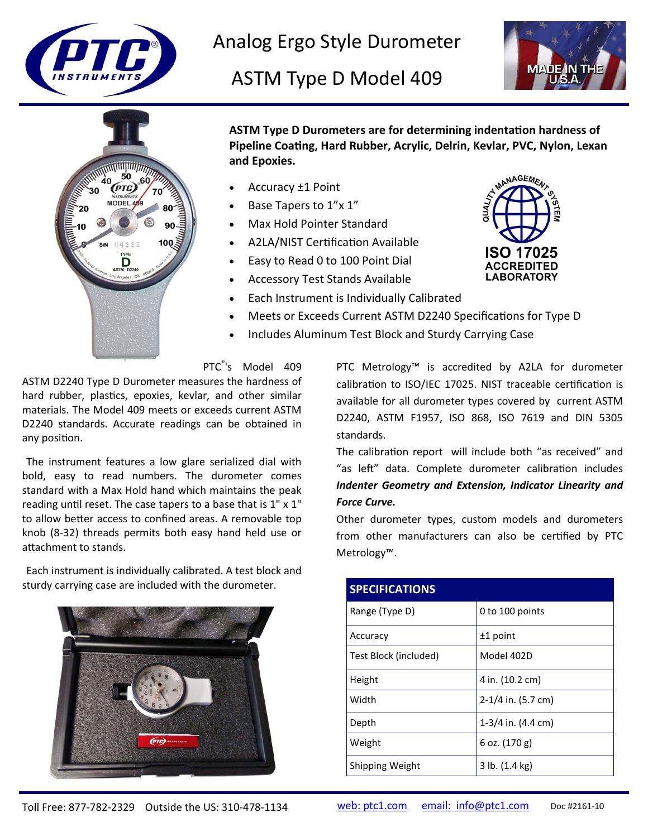

Analog Ergo Style Durometer

ASTM Type D Model 409





**ASTM Type D Durometers are for determining indentation hardness of Pipeline Coating, Hard Rubber, Acrylic, Delrin, Kevlar, PVC, Nylon, Lexan and Epoxies.**

- Accuracy ±1 Point
- Base Tapers to 1"x 1"
- Max Hold Pointer Standard
- A2LA/NIST Certification Available
- Easy to Read 0 to 100 Point Dial
- Accessory Test Stands Available
- MANAGEMEN **ISO 17025 ACCREDITED LABORATORY**
- Each Instrument is Individually Calibrated
- Meets or Exceeds Current ASTM D2240 Specifications for Type D
- Includes Aluminum Test Block and Sturdy Carrying Case

PTC<sup>®</sup>'s Model 409

ASTM D2240 Type D Durometer measures the hardness of hard rubber, plastics, epoxies, kevlar, and other similar materials. The Model 409 meets or exceeds current ASTM D2240 standards. Accurate readings can be obtained in any position.

The instrument features a low glare serialized dial with bold, easy to read numbers. The durometer comes standard with a Max Hold hand which maintains the peak reading until reset. The case tapers to a base that is 1" x 1" to allow better access to confined areas. A removable top knob (8-32) threads permits both easy hand held use or attachment to stands.

Each instrument is individually calibrated. A test block and sturdy carrying case are included with the durometer.



PTC Metrology™ is accredited by A2LA for durometer calibration to ISO/IEC 17025. NIST traceable certification is available for all durometer types covered by current ASTM D2240, ASTM F1957, ISO 868, ISO 7619 and DIN 5305 standards.

The calibration report will include both "as received" and "as left" data. Complete durometer calibration includes *Indenter Geometry and Extension, Indicator Linearity and Force Curve.*

Other durometer types, custom models and durometers from other manufacturers can also be certified by PTC Metrology™.

| <b>SPECIFICATIONS</b> |                                |
|-----------------------|--------------------------------|
| Range (Type D)        | 0 to 100 points                |
| Accuracy              | $±1$ point                     |
| Test Block (included) | Model 402D                     |
| Height                | 4 in. (10.2 cm)                |
| Width                 | $2-1/4$ in. (5.7 cm)           |
| Depth                 | $1-3/4$ in. $(4.4 \text{ cm})$ |
| Weight                | 6 oz. (170 g)                  |
| Shipping Weight       | 3 lb. (1.4 kg)                 |